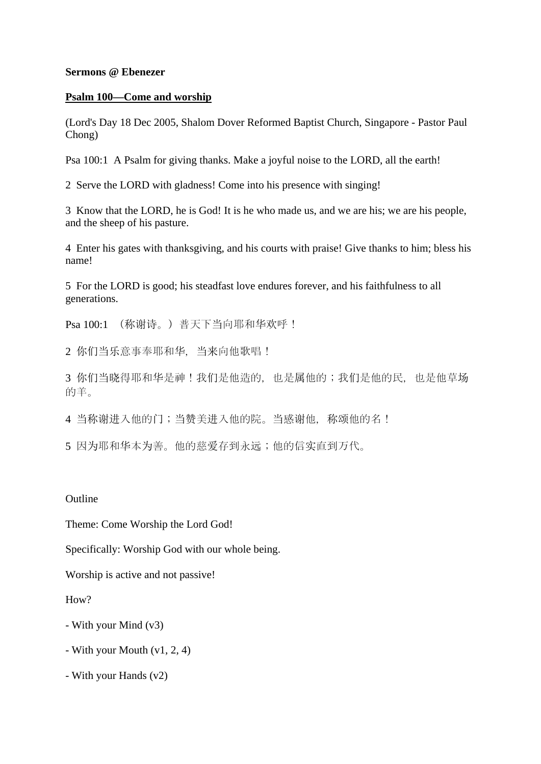### **Sermons @ Ebenezer**

### **Psalm 100—Come and worship**

(Lord's Day 18 Dec 2005, Shalom Dover Reformed Baptist Church, Singapore - Pastor Paul Chong)

Psa 100:1 A Psalm for giving thanks. Make a joyful noise to the LORD, all the earth!

2 Serve the LORD with gladness! Come into his presence with singing!

3 Know that the LORD, he is God! It is he who made us, and we are his; we are his people, and the sheep of his pasture.

4 Enter his gates with thanksgiving, and his courts with praise! Give thanks to him; bless his name!

5 For the LORD is good; his steadfast love endures forever, and his faithfulness to all generations.

Psa 100:1 (称谢诗。)普天下当向耶和华欢呼!

2 你们当乐意事奉耶和华,当来向他歌唱!

3 你们当晓得耶和华是神!我们是他造的,也是属他的;我们是他的民,也是他草场 的羊。

4 当称谢进入他的门;当赞美进入他的院。当感谢他, 称颂他的名!

5 因为耶和华本为善。他的慈爱存到永远;他的信实直到万代。

# **Outline**

Theme: Come Worship the Lord God!

Specifically: Worship God with our whole being.

Worship is active and not passive!

How?

- With your Mind (v3)
- With your Mouth (v1, 2, 4)
- With your Hands (v2)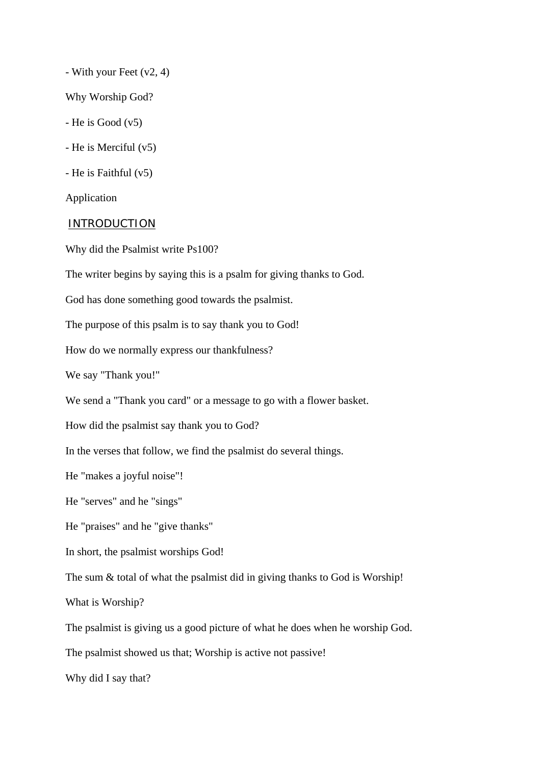- With your Feet (v2, 4)

Why Worship God?

 $-$  He is Good  $(v5)$ 

- He is Merciful (v5)

- He is Faithful (v5)

Application

#### INTRODUCTION

Why did the Psalmist write Ps100?

The writer begins by saying this is a psalm for giving thanks to God.

God has done something good towards the psalmist.

The purpose of this psalm is to say thank you to God!

How do we normally express our thankfulness?

We say "Thank you!"

We send a "Thank you card" or a message to go with a flower basket.

How did the psalmist say thank you to God?

In the verses that follow, we find the psalmist do several things.

He "makes a joyful noise"!

He "serves" and he "sings"

He "praises" and he "give thanks"

In short, the psalmist worships God!

The sum & total of what the psalmist did in giving thanks to God is Worship!

What is Worship?

The psalmist is giving us a good picture of what he does when he worship God.

The psalmist showed us that; Worship is active not passive!

Why did I say that?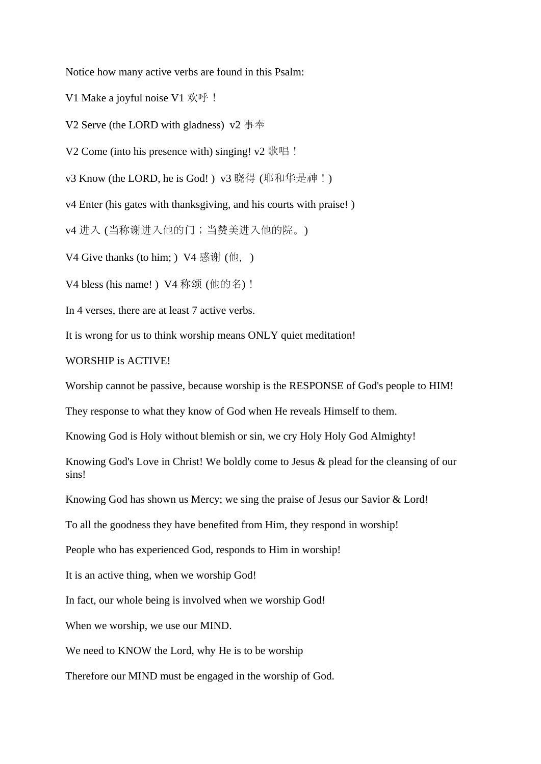Notice how many active verbs are found in this Psalm:

V1 Make a joyful noise V1 欢呼!

V2 Serve (the LORD with gladness) v2 事奉

V2 Come (into his presence with) singing!  $v2 \mathbb{R} \mathbb{R}$  !

v3 Know (the LORD, he is God!) v3 晓得 (耶和华是神!)

v4 Enter (his gates with thanksgiving, and his courts with praise! )

v4 进入 (当称谢进入他的门;当赞美进入他的院。)

V4 Give thanks (to him; ) V4 感谢 (他, )

V4 bless (his name!) V4 称颂 (他的名)!

In 4 verses, there are at least 7 active verbs.

It is wrong for us to think worship means ONLY quiet meditation!

# WORSHIP is ACTIVE!

Worship cannot be passive, because worship is the RESPONSE of God's people to HIM!

They response to what they know of God when He reveals Himself to them.

Knowing God is Holy without blemish or sin, we cry Holy Holy God Almighty!

Knowing God's Love in Christ! We boldly come to Jesus & plead for the cleansing of our sins!

Knowing God has shown us Mercy; we sing the praise of Jesus our Savior & Lord!

To all the goodness they have benefited from Him, they respond in worship!

People who has experienced God, responds to Him in worship!

It is an active thing, when we worship God!

In fact, our whole being is involved when we worship God!

When we worship, we use our MIND.

We need to KNOW the Lord, why He is to be worship

Therefore our MIND must be engaged in the worship of God.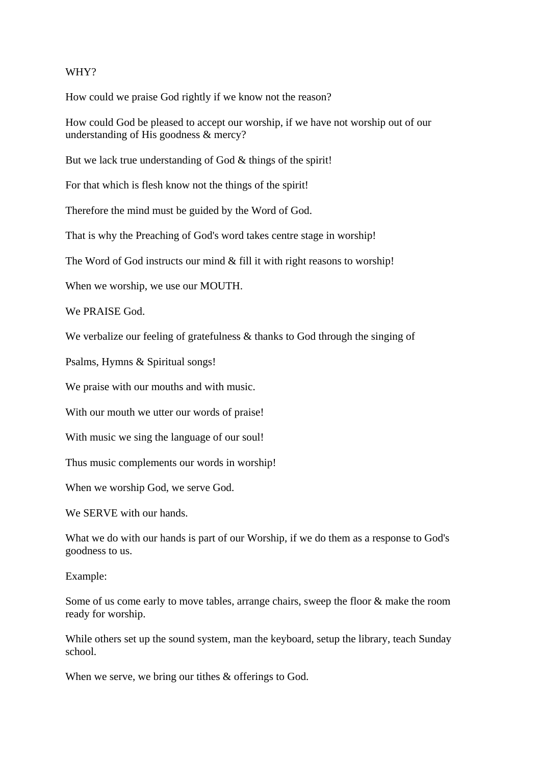## WHY?

How could we praise God rightly if we know not the reason?

How could God be pleased to accept our worship, if we have not worship out of our understanding of His goodness & mercy?

But we lack true understanding of God & things of the spirit!

For that which is flesh know not the things of the spirit!

Therefore the mind must be guided by the Word of God.

That is why the Preaching of God's word takes centre stage in worship!

The Word of God instructs our mind & fill it with right reasons to worship!

When we worship, we use our MOUTH.

We PRAISE God.

We verbalize our feeling of gratefulness & thanks to God through the singing of

Psalms, Hymns & Spiritual songs!

We praise with our mouths and with music.

With our mouth we utter our words of praise!

With music we sing the language of our soul!

Thus music complements our words in worship!

When we worship God, we serve God.

We SERVE with our hands.

What we do with our hands is part of our Worship, if we do them as a response to God's goodness to us.

Example:

Some of us come early to move tables, arrange chairs, sweep the floor & make the room ready for worship.

While others set up the sound system, man the keyboard, setup the library, teach Sunday school.

When we serve, we bring our tithes  $&$  offerings to God.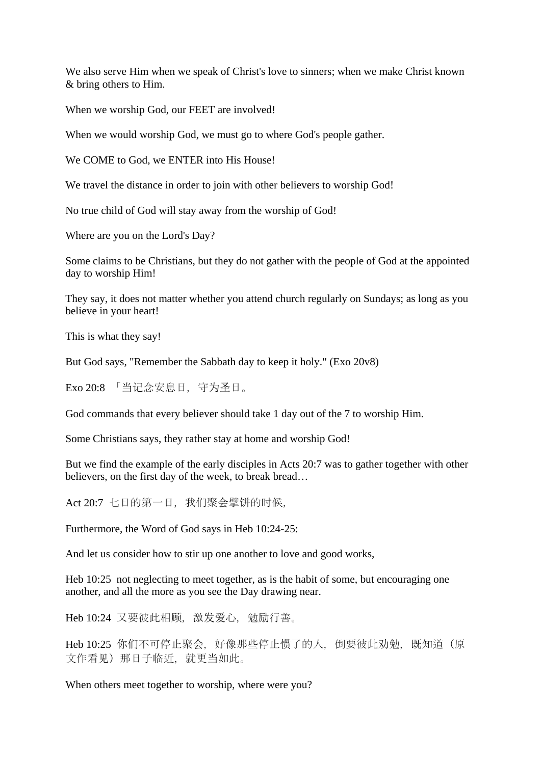We also serve Him when we speak of Christ's love to sinners; when we make Christ known & bring others to Him.

When we worship God, our FEET are involved!

When we would worship God, we must go to where God's people gather.

We COME to God, we ENTER into His House!

We travel the distance in order to join with other believers to worship God!

No true child of God will stay away from the worship of God!

Where are you on the Lord's Day?

Some claims to be Christians, but they do not gather with the people of God at the appointed day to worship Him!

They say, it does not matter whether you attend church regularly on Sundays; as long as you believe in your heart!

This is what they say!

But God says, "Remember the Sabbath day to keep it holy." (Exo 20v8)

Exo 20:8 「当记念安息日, 守为圣日。

God commands that every believer should take 1 day out of the 7 to worship Him.

Some Christians says, they rather stay at home and worship God!

But we find the example of the early disciples in Acts 20:7 was to gather together with other believers, on the first day of the week, to break bread…

Act 20:7 七日的第一日, 我们聚会擘饼的时候,

Furthermore, the Word of God says in Heb 10:24-25:

And let us consider how to stir up one another to love and good works,

Heb 10:25 not neglecting to meet together, as is the habit of some, but encouraging one another, and all the more as you see the Day drawing near.

Heb 10:24 又要彼此相顾, 激发爱心, 勉励行善。

Heb 10:25 你们不可停止聚会, 好像那些停止惯了的人, 倒要彼此劝勉, 既知道(原 文作看见)那日子临近,就更当如此。

When others meet together to worship, where were you?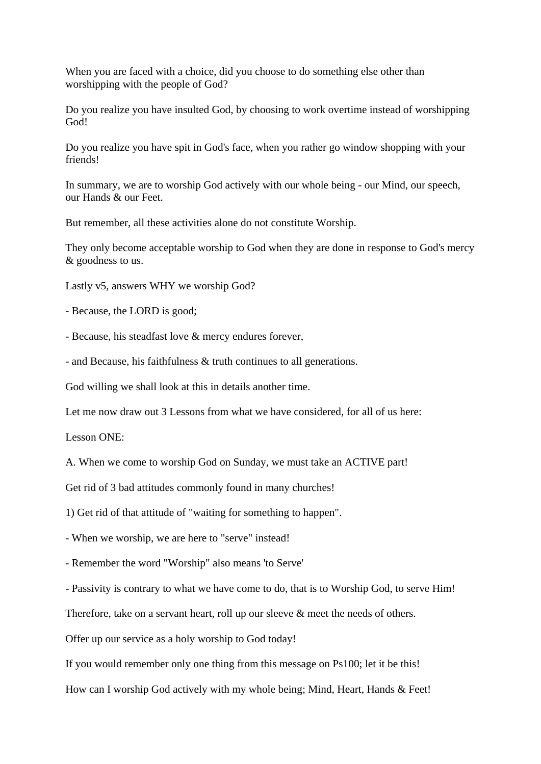When you are faced with a choice, did you choose to do something else other than worshipping with the people of God?

Do you realize you have insulted God, by choosing to work overtime instead of worshipping God!

Do you realize you have spit in God's face, when you rather go window shopping with your friends!

In summary, we are to worship God actively with our whole being - our Mind, our speech, our Hands & our Feet.

But remember, all these activities alone do not constitute Worship.

They only become acceptable worship to God when they are done in response to God's mercy & goodness to us.

Lastly v5, answers WHY we worship God?

- Because, the LORD is good;

- Because, his steadfast love & mercy endures forever,

- and Because, his faithfulness & truth continues to all generations.

God willing we shall look at this in details another time.

Let me now draw out 3 Lessons from what we have considered, for all of us here:

Lesson ONE:

A. When we come to worship God on Sunday, we must take an ACTIVE part!

Get rid of 3 bad attitudes commonly found in many churches!

1) Get rid of that attitude of "waiting for something to happen".

- When we worship, we are here to "serve" instead!

- Remember the word "Worship" also means 'to Serve'

- Passivity is contrary to what we have come to do, that is to Worship God, to serve Him!

Therefore, take on a servant heart, roll up our sleeve & meet the needs of others.

Offer up our service as a holy worship to God today!

If you would remember only one thing from this message on Ps100; let it be this!

How can I worship God actively with my whole being; Mind, Heart, Hands & Feet!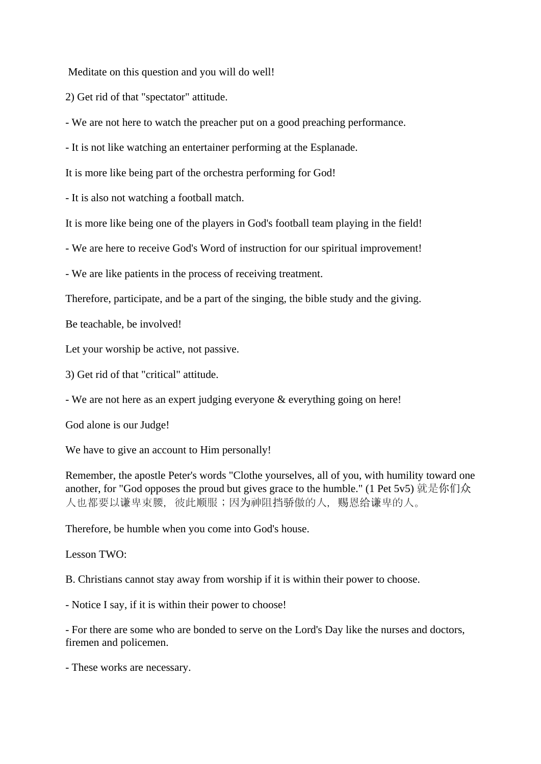Meditate on this question and you will do well!

2) Get rid of that "spectator" attitude.

- We are not here to watch the preacher put on a good preaching performance.

- It is not like watching an entertainer performing at the Esplanade.

It is more like being part of the orchestra performing for God!

- It is also not watching a football match.

It is more like being one of the players in God's football team playing in the field!

- We are here to receive God's Word of instruction for our spiritual improvement!

- We are like patients in the process of receiving treatment.

Therefore, participate, and be a part of the singing, the bible study and the giving.

Be teachable, be involved!

Let your worship be active, not passive.

3) Get rid of that "critical" attitude.

- We are not here as an expert judging everyone & everything going on here!

God alone is our Judge!

We have to give an account to Him personally!

Remember, the apostle Peter's words "Clothe yourselves, all of you, with humility toward one another, for "God opposes the proud but gives grace to the humble." (1 Pet 5v5) 就是你们众 人也都要以谦卑束腰,彼此顺服;因为神阻挡骄傲的人,赐恩给谦卑的人。

Therefore, be humble when you come into God's house.

Lesson TWO:

B. Christians cannot stay away from worship if it is within their power to choose.

- Notice I say, if it is within their power to choose!

- For there are some who are bonded to serve on the Lord's Day like the nurses and doctors, firemen and policemen.

- These works are necessary.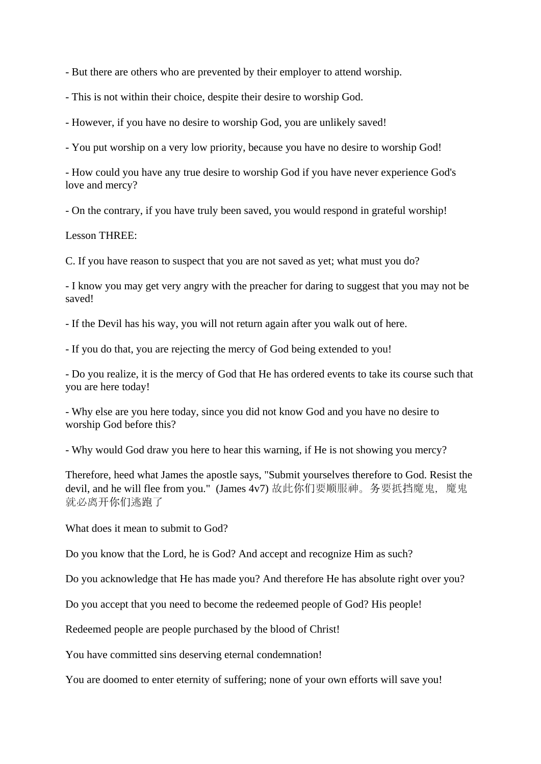- But there are others who are prevented by their employer to attend worship.

- This is not within their choice, despite their desire to worship God.

- However, if you have no desire to worship God, you are unlikely saved!

- You put worship on a very low priority, because you have no desire to worship God!

- How could you have any true desire to worship God if you have never experience God's love and mercy?

- On the contrary, if you have truly been saved, you would respond in grateful worship!

Lesson THREE:

C. If you have reason to suspect that you are not saved as yet; what must you do?

- I know you may get very angry with the preacher for daring to suggest that you may not be saved!

- If the Devil has his way, you will not return again after you walk out of here.

- If you do that, you are rejecting the mercy of God being extended to you!

- Do you realize, it is the mercy of God that He has ordered events to take its course such that you are here today!

- Why else are you here today, since you did not know God and you have no desire to worship God before this?

- Why would God draw you here to hear this warning, if He is not showing you mercy?

Therefore, heed what James the apostle says, "Submit yourselves therefore to God. Resist the devil, and he will flee from you." (James 4v7) 故此你们要顺服神。务要抵挡魔鬼, 魔鬼 就必离开你们逃跑了

What does it mean to submit to God?

Do you know that the Lord, he is God? And accept and recognize Him as such?

Do you acknowledge that He has made you? And therefore He has absolute right over you?

Do you accept that you need to become the redeemed people of God? His people!

Redeemed people are people purchased by the blood of Christ!

You have committed sins deserving eternal condemnation!

You are doomed to enter eternity of suffering; none of your own efforts will save you!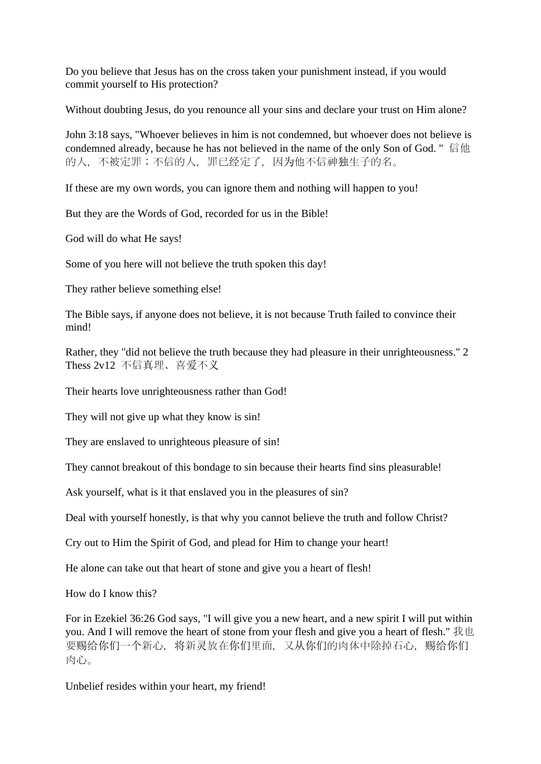Do you believe that Jesus has on the cross taken your punishment instead, if you would commit yourself to His protection?

Without doubting Jesus, do you renounce all your sins and declare your trust on Him alone?

John 3:18 says, "Whoever believes in him is not condemned, but whoever does not believe is condemned already, because he has not believed in the name of the only Son of God. " 信他 的人,不被定罪;不信的人,罪已经定了,因为他不信神独生子的名。

If these are my own words, you can ignore them and nothing will happen to you!

But they are the Words of God, recorded for us in the Bible!

God will do what He says!

Some of you here will not believe the truth spoken this day!

They rather believe something else!

The Bible says, if anyone does not believe, it is not because Truth failed to convince their mind!

Rather, they "did not believe the truth because they had pleasure in their unrighteousness." 2 Thess 2v12 不信真理、喜爱不义

Their hearts love unrighteousness rather than God!

They will not give up what they know is sin!

They are enslaved to unrighteous pleasure of sin!

They cannot breakout of this bondage to sin because their hearts find sins pleasurable!

Ask yourself, what is it that enslaved you in the pleasures of sin?

Deal with yourself honestly, is that why you cannot believe the truth and follow Christ?

Cry out to Him the Spirit of God, and plead for Him to change your heart!

He alone can take out that heart of stone and give you a heart of flesh!

How do I know this?

For in Ezekiel 36:26 God says, "I will give you a new heart, and a new spirit I will put within you. And I will remove the heart of stone from your flesh and give you a heart of flesh." 我也 要赐给你们一个新心,将新灵放在你们里面,又从你们的肉体中除掉石心,赐给你们 肉心。

Unbelief resides within your heart, my friend!